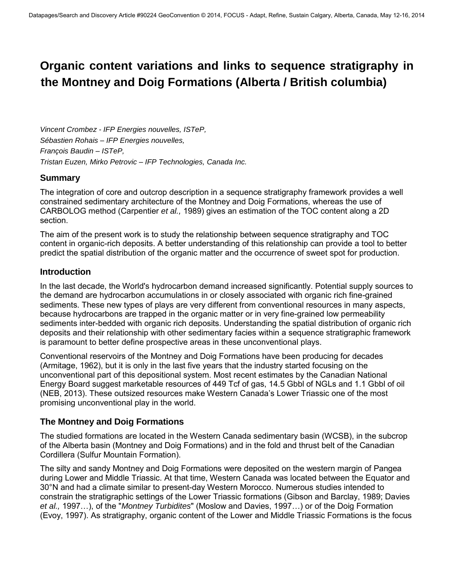# **Organic content variations and links to sequence stratigraphy in the Montney and Doig Formations (Alberta / British columbia)**

*Vincent Crombez - IFP Energies nouvelles, ISTeP, Sébastien Rohais – IFP Energies nouvelles, François Baudin – ISTeP, Tristan Euzen, Mirko Petrovic – IFP Technologies, Canada Inc.* 

# **Summary**

The integration of core and outcrop description in a sequence stratigraphy framework provides a well constrained sedimentary architecture of the Montney and Doig Formations, whereas the use of CARBOLOG method (Carpentier *et al.,* 1989) gives an estimation of the TOC content along a 2D section.

The aim of the present work is to study the relationship between sequence stratigraphy and TOC content in organic-rich deposits. A better understanding of this relationship can provide a tool to better predict the spatial distribution of the organic matter and the occurrence of sweet spot for production.

# **Introduction**

In the last decade, the World's hydrocarbon demand increased significantly. Potential supply sources to the demand are hydrocarbon accumulations in or closely associated with organic rich fine-grained sediments. These new types of plays are very different from conventional resources in many aspects, because hydrocarbons are trapped in the organic matter or in very fine-grained low permeability sediments inter-bedded with organic rich deposits. Understanding the spatial distribution of organic rich deposits and their relationship with other sedimentary facies within a sequence stratigraphic framework is paramount to better define prospective areas in these unconventional plays.

Conventional reservoirs of the Montney and Doig Formations have been producing for decades (Armitage, 1962), but it is only in the last five years that the industry started focusing on the unconventional part of this depositional system. Most recent estimates by the Canadian National Energy Board suggest marketable resources of 449 Tcf of gas, 14.5 Gbbl of NGLs and 1.1 Gbbl of oil (NEB, 2013). These outsized resources make Western Canada's Lower Triassic one of the most promising unconventional play in the world.

# **The Montney and Doig Formations**

The studied formations are located in the Western Canada sedimentary basin (WCSB), in the subcrop of the Alberta basin (Montney and Doig Formations) and in the fold and thrust belt of the Canadian Cordillera (Sulfur Mountain Formation).

The silty and sandy Montney and Doig Formations were deposited on the western margin of Pangea during Lower and Middle Triassic. At that time, Western Canada was located between the Equator and 30°N and had a climate similar to present-day Western Morocco. Numerous studies intended to constrain the stratigraphic settings of the Lower Triassic formations (Gibson and Barclay, 1989; Davies *et al.,* 1997…), of the "*Montney Turbidites*" (Moslow and Davies, 1997…) or of the Doig Formation (Evoy, 1997). As stratigraphy, organic content of the Lower and Middle Triassic Formations is the focus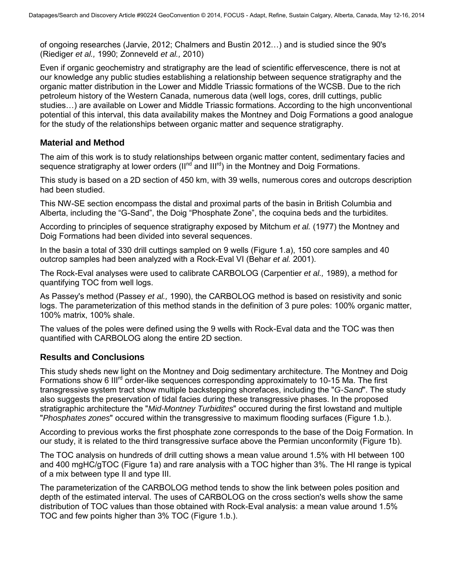of ongoing researches (Jarvie, 2012; Chalmers and Bustin 2012…) and is studied since the 90's (Riediger *et al.,* 1990; Zonneveld *et al.,* 2010)

Even if organic geochemistry and stratigraphy are the lead of scientific effervescence, there is not at our knowledge any public studies establishing a relationship between sequence stratigraphy and the organic matter distribution in the Lower and Middle Triassic formations of the WCSB. Due to the rich petroleum history of the Western Canada, numerous data (well logs, cores, drill cuttings, public studies…) are available on Lower and Middle Triassic formations. According to the high unconventional potential of this interval, this data availability makes the Montney and Doig Formations a good analogue for the study of the relationships between organic matter and sequence stratigraphy.

## **Material and Method**

The aim of this work is to study relationships between organic matter content, sedimentary facies and sequence stratigraphy at lower orders (II<sup>nd</sup> and III<sup>rd</sup>) in the Montney and Doig Formations.

This study is based on a 2D section of 450 km, with 39 wells, numerous cores and outcrops description had been studied.

This NW-SE section encompass the distal and proximal parts of the basin in British Columbia and Alberta, including the "G-Sand", the Doig "Phosphate Zone", the coquina beds and the turbidites.

According to principles of sequence stratigraphy exposed by Mitchum *et al.* (1977) the Montney and Doig Formations had been divided into several sequences.

In the basin a total of 330 drill cuttings sampled on 9 wells (Figure 1.a), 150 core samples and 40 outcrop samples had been analyzed with a Rock-Eval VI (Behar *et al.* 2001).

The Rock-Eval analyses were used to calibrate CARBOLOG (Carpentier *et al.,* 1989), a method for quantifying TOC from well logs.

As Passey's method (Passey *et al.,* 1990), the CARBOLOG method is based on resistivity and sonic logs. The parameterization of this method stands in the definition of 3 pure poles: 100% organic matter, 100% matrix, 100% shale.

The values of the poles were defined using the 9 wells with Rock-Eval data and the TOC was then quantified with CARBOLOG along the entire 2D section.

## **Results and Conclusions**

This study sheds new light on the Montney and Doig sedimentary architecture. The Montney and Doig Formations show 6 III<sup>rd</sup> order-like sequences corresponding approximately to 10-15 Ma. The first transgressive system tract show multiple backstepping shorefaces, including the "*G-Sand*". The study also suggests the preservation of tidal facies during these transgressive phases. In the proposed stratigraphic architecture the "*Mid-Montney Turbidites*" occured during the first lowstand and multiple "*Phosphates zones*" occured within the transgressive to maximum flooding surfaces (Figure 1.b.).

According to previous works the first phosphate zone corresponds to the base of the Doig Formation. In our study, it is related to the third transgressive surface above the Permian unconformity (Figure 1b).

The TOC analysis on hundreds of drill cutting shows a mean value around 1.5% with HI between 100 and 400 mgHC/gTOC (Figure 1a) and rare analysis with a TOC higher than 3%. The HI range is typical of a mix between type II and type III.

The parameterization of the CARBOLOG method tends to show the link between poles position and depth of the estimated interval. The uses of CARBOLOG on the cross section's wells show the same distribution of TOC values than those obtained with Rock-Eval analysis: a mean value around 1.5% TOC and few points higher than 3% TOC (Figure 1.b.).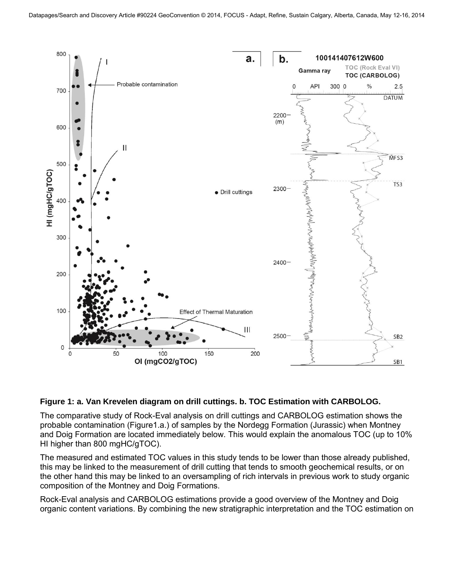

### **Figure 1: a. Van Krevelen diagram on drill cuttings. b. TOC Estimation with CARBOLOG.**

The comparative study of Rock-Eval analysis on drill cuttings and CARBOLOG estimation shows the probable contamination (Figure1.a.) of samples by the Nordegg Formation (Jurassic) when Montney and Doig Formation are located immediately below. This would explain the anomalous TOC (up to 10% HI higher than 800 mgHC/gTOC).

The measured and estimated TOC values in this study tends to be lower than those already published, this may be linked to the measurement of drill cutting that tends to smooth geochemical results, or on the other hand this may be linked to an oversampling of rich intervals in previous work to study organic composition of the Montney and Doig Formations.

Rock-Eval analysis and CARBOLOG estimations provide a good overview of the Montney and Doig organic content variations. By combining the new stratigraphic interpretation and the TOC estimation on